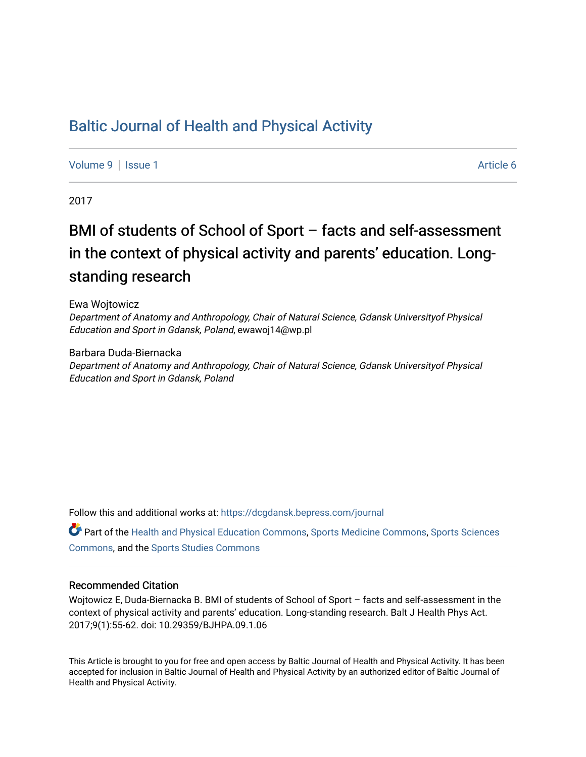### [Baltic Journal of Health and Physical Activity](https://dcgdansk.bepress.com/journal)

[Volume 9](https://dcgdansk.bepress.com/journal/vol9) | [Issue 1](https://dcgdansk.bepress.com/journal/vol9/iss1) Article 6

2017

# BMI of students of School of Sport – facts and self-assessment in the context of physical activity and parents' education. Longstanding research

Ewa Wojtowicz

Department of Anatomy and Anthropology, Chair of Natural Science, Gdansk Universityof Physical Education and Sport in Gdansk, Poland, ewawoj14@wp.pl

Barbara Duda-Biernacka

Department of Anatomy and Anthropology, Chair of Natural Science, Gdansk Universityof Physical Education and Sport in Gdansk, Poland

Follow this and additional works at: [https://dcgdansk.bepress.com/journal](https://dcgdansk.bepress.com/journal?utm_source=dcgdansk.bepress.com%2Fjournal%2Fvol9%2Fiss1%2F6&utm_medium=PDF&utm_campaign=PDFCoverPages)

Part of the [Health and Physical Education Commons](http://network.bepress.com/hgg/discipline/1327?utm_source=dcgdansk.bepress.com%2Fjournal%2Fvol9%2Fiss1%2F6&utm_medium=PDF&utm_campaign=PDFCoverPages), [Sports Medicine Commons,](http://network.bepress.com/hgg/discipline/1331?utm_source=dcgdansk.bepress.com%2Fjournal%2Fvol9%2Fiss1%2F6&utm_medium=PDF&utm_campaign=PDFCoverPages) [Sports Sciences](http://network.bepress.com/hgg/discipline/759?utm_source=dcgdansk.bepress.com%2Fjournal%2Fvol9%2Fiss1%2F6&utm_medium=PDF&utm_campaign=PDFCoverPages) [Commons](http://network.bepress.com/hgg/discipline/759?utm_source=dcgdansk.bepress.com%2Fjournal%2Fvol9%2Fiss1%2F6&utm_medium=PDF&utm_campaign=PDFCoverPages), and the [Sports Studies Commons](http://network.bepress.com/hgg/discipline/1198?utm_source=dcgdansk.bepress.com%2Fjournal%2Fvol9%2Fiss1%2F6&utm_medium=PDF&utm_campaign=PDFCoverPages) 

#### Recommended Citation

Wojtowicz E, Duda-Biernacka B. BMI of students of School of Sport – facts and self-assessment in the context of physical activity and parents' education. Long-standing research. Balt J Health Phys Act. 2017;9(1):55-62. doi: 10.29359/BJHPA.09.1.06

This Article is brought to you for free and open access by Baltic Journal of Health and Physical Activity. It has been accepted for inclusion in Baltic Journal of Health and Physical Activity by an authorized editor of Baltic Journal of Health and Physical Activity.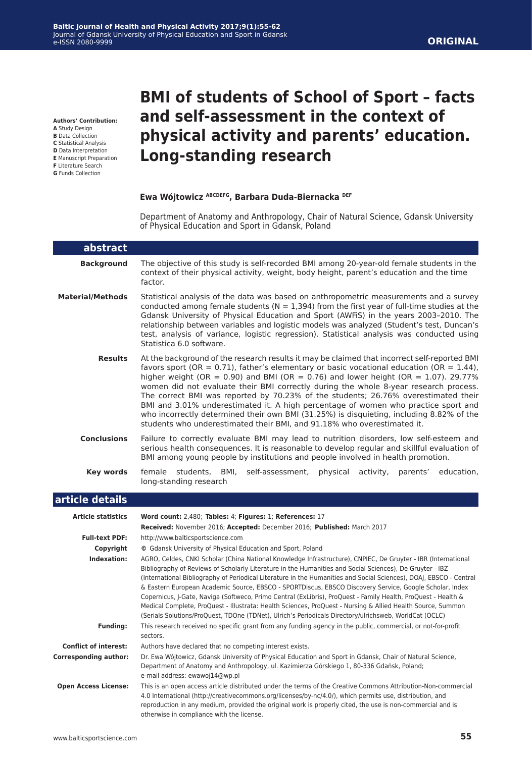**Authors' Contribution:**

- **A** Study Design **B** Data Collection
- **C** Statistical Analysis
- **D** Data Interpretation
- **E** Manuscript Preparation
- **F** Literature Search
- **G** Funds Collection

## **BMI of students of School of Sport – facts and self-assessment in the context of physical activity and parents' education. Long-standing research**

#### **Ewa Wójtowicz ABCDEFG, Barbara Duda-Biernacka DEF**

Department of Anatomy and Anthropology, Chair of Natural Science, Gdansk University of Physical Education and Sport in Gdansk, Poland

| abstract                     |                                                                                                                                                                                                                                                                                                                                                                                                                                                                                                                                                                                                                                                                                                                                                                                                      |
|------------------------------|------------------------------------------------------------------------------------------------------------------------------------------------------------------------------------------------------------------------------------------------------------------------------------------------------------------------------------------------------------------------------------------------------------------------------------------------------------------------------------------------------------------------------------------------------------------------------------------------------------------------------------------------------------------------------------------------------------------------------------------------------------------------------------------------------|
| <b>Background</b>            | The objective of this study is self-recorded BMI among 20-year-old female students in the<br>context of their physical activity, weight, body height, parent's education and the time<br>factor.                                                                                                                                                                                                                                                                                                                                                                                                                                                                                                                                                                                                     |
| <b>Material/Methods</b>      | Statistical analysis of the data was based on anthropometric measurements and a survey<br>conducted among female students ( $N = 1,394$ ) from the first year of full-time studies at the<br>Gdansk University of Physical Education and Sport (AWFIS) in the years 2003-2010. The<br>relationship between variables and logistic models was analyzed (Student's test, Duncan's<br>test, analysis of variance, logistic regression). Statistical analysis was conducted using<br>Statistica 6.0 software.                                                                                                                                                                                                                                                                                            |
| <b>Results</b>               | At the background of the research results it may be claimed that incorrect self-reported BMI<br>favors sport (OR = 0.71), father's elementary or basic vocational education (OR = $1.44$ ),<br>higher weight (OR = 0.90) and BMI (OR = 0.76) and lower height (OR = 1.07). 29.77%<br>women did not evaluate their BMI correctly during the whole 8-year research process.<br>The correct BMI was reported by 70.23% of the students; 26.76% overestimated their<br>BMI and 3.01% underestimated it. A high percentage of women who practice sport and<br>who incorrectly determined their own BMI (31.25%) is disquieting, including 8.82% of the<br>students who underestimated their BMI, and 91.18% who overestimated it.                                                                         |
| <b>Conclusions</b>           | Failure to correctly evaluate BMI may lead to nutrition disorders, low self-esteem and<br>serious health consequences. It is reasonable to develop regular and skillful evaluation of<br>BMI among young people by institutions and people involved in health promotion.                                                                                                                                                                                                                                                                                                                                                                                                                                                                                                                             |
| Key words                    | female<br>students, BMI,<br>self-assessment, physical activity,<br>parents'<br>education,<br>long-standing research                                                                                                                                                                                                                                                                                                                                                                                                                                                                                                                                                                                                                                                                                  |
| article details              |                                                                                                                                                                                                                                                                                                                                                                                                                                                                                                                                                                                                                                                                                                                                                                                                      |
| <b>Article statistics</b>    | Word count: 2,480; Tables: 4; Figures: 1; References: 17<br>Received: November 2016; Accepted: December 2016; Published: March 2017                                                                                                                                                                                                                                                                                                                                                                                                                                                                                                                                                                                                                                                                  |
| <b>Full-text PDF:</b>        | http://www.balticsportscience.com                                                                                                                                                                                                                                                                                                                                                                                                                                                                                                                                                                                                                                                                                                                                                                    |
| Copyright                    | © Gdansk University of Physical Education and Sport, Poland                                                                                                                                                                                                                                                                                                                                                                                                                                                                                                                                                                                                                                                                                                                                          |
| Indexation:                  | AGRO, Celdes, CNKI Scholar (China National Knowledge Infrastructure), CNPIEC, De Gruyter - IBR (International<br>Bibliography of Reviews of Scholarly Literature in the Humanities and Social Sciences), De Gruyter - IBZ<br>(International Bibliography of Periodical Literature in the Humanities and Social Sciences), DOAJ, EBSCO - Central<br>& Eastern European Academic Source, EBSCO - SPORTDiscus, EBSCO Discovery Service, Google Scholar, Index<br>Copernicus, J-Gate, Naviga (Softweco, Primo Central (ExLibris), ProQuest - Family Health, ProQuest - Health &<br>Medical Complete, ProQuest - Illustrata: Health Sciences, ProQuest - Nursing & Allied Health Source, Summon<br>(Serials Solutions/ProQuest, TDOne (TDNet), Ulrich's Periodicals Directory/ulrichsweb, WorldCat (OCLC) |
| <b>Funding:</b>              | This research received no specific grant from any funding agency in the public, commercial, or not-for-profit<br>sectors.                                                                                                                                                                                                                                                                                                                                                                                                                                                                                                                                                                                                                                                                            |
| <b>Conflict of interest:</b> | Authors have declared that no competing interest exists.                                                                                                                                                                                                                                                                                                                                                                                                                                                                                                                                                                                                                                                                                                                                             |
| <b>Corresponding author:</b> | Dr. Ewa Wójtowicz, Gdansk University of Physical Education and Sport in Gdansk, Chair of Natural Science,<br>Department of Anatomy and Anthropology, ul. Kazimierza Górskiego 1, 80-336 Gdańsk, Poland;<br>e-mail address: ewawoj14@wp.pl                                                                                                                                                                                                                                                                                                                                                                                                                                                                                                                                                            |
| <b>Open Access License:</b>  | This is an open access article distributed under the terms of the Creative Commons Attribution-Non-commercial<br>4.0 International (http://creativecommons.org/licenses/by-nc/4.0/), which permits use, distribution, and<br>reproduction in any medium, provided the original work is properly cited, the use is non-commercial and is                                                                                                                                                                                                                                                                                                                                                                                                                                                              |

otherwise in compliance with the license.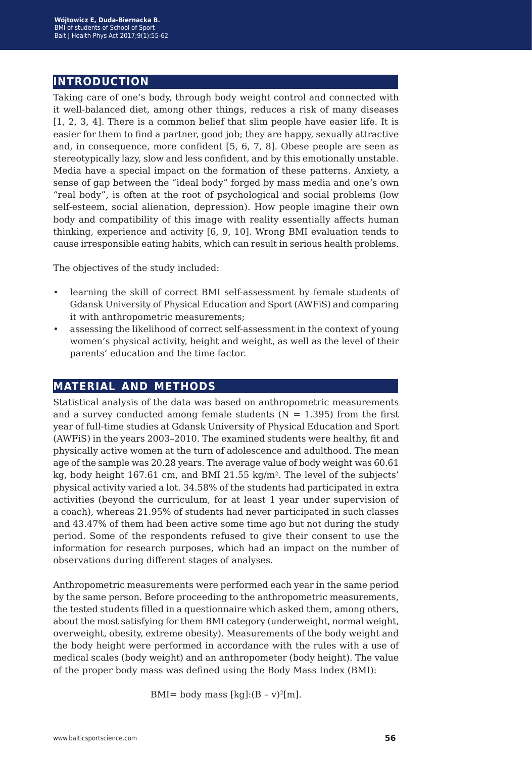### **introduction**

Taking care of one's body, through body weight control and connected with it well-balanced diet, among other things, reduces a risk of many diseases [1, 2, 3, 4]. There is a common belief that slim people have easier life. It is easier for them to find a partner, good job; they are happy, sexually attractive and, in consequence, more confident [5, 6, 7, 8]. Obese people are seen as stereotypically lazy, slow and less confident, and by this emotionally unstable. Media have a special impact on the formation of these patterns. Anxiety, a sense of gap between the "ideal body" forged by mass media and one's own "real body", is often at the root of psychological and social problems (low self-esteem, social alienation, depression). How people imagine their own body and compatibility of this image with reality essentially affects human thinking, experience and activity [6, 9, 10]. Wrong BMI evaluation tends to cause irresponsible eating habits, which can result in serious health problems.

The objectives of the study included:

- learning the skill of correct BMI self-assessment by female students of Gdansk University of Physical Education and Sport (AWFiS) and comparing it with anthropometric measurements;
- assessing the likelihood of correct self-assessment in the context of young women's physical activity, height and weight, as well as the level of their parents' education and the time factor.

#### **material and methods**

Statistical analysis of the data was based on anthropometric measurements and a survey conducted among female students  $(N = 1.395)$  from the first year of full-time studies at Gdansk University of Physical Education and Sport (AWFiS) in the years 2003–2010. The examined students were healthy, fit and physically active women at the turn of adolescence and adulthood. The mean age of the sample was 20.28 years. The average value of body weight was 60.61 kg, body height 167.61 cm, and BMI 21.55 kg/m<sup>2</sup>. The level of the subjects' physical activity varied a lot. 34.58% of the students had participated in extra activities (beyond the curriculum, for at least 1 year under supervision of a coach), whereas 21.95% of students had never participated in such classes and 43.47% of them had been active some time ago but not during the study period. Some of the respondents refused to give their consent to use the information for research purposes, which had an impact on the number of observations during different stages of analyses.

Anthropometric measurements were performed each year in the same period by the same person. Before proceeding to the anthropometric measurements, the tested students filled in a questionnaire which asked them, among others, about the most satisfying for them BMI category (underweight, normal weight, overweight, obesity, extreme obesity). Measurements of the body weight and the body height were performed in accordance with the rules with a use of medical scales (body weight) and an anthropometer (body height). The value of the proper body mass was defined using the Body Mass Index (BMI):

BMI= body mass  $[kq]:(B - v)^2[m]$ .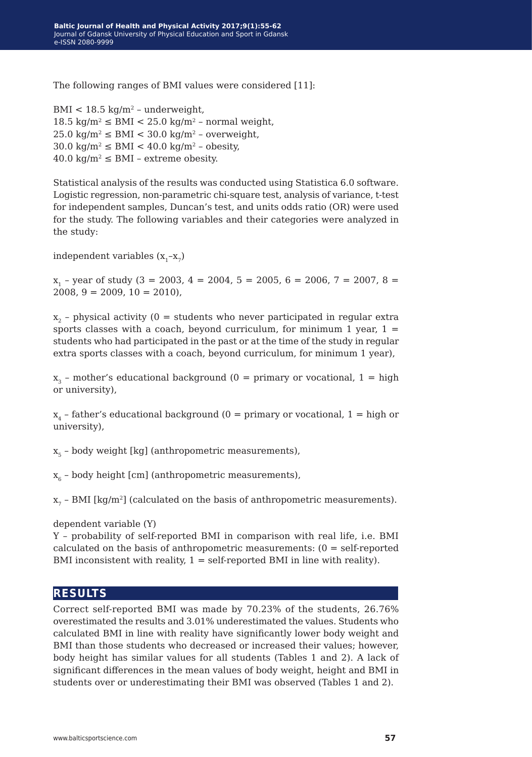The following ranges of BMI values were considered [11]:

 $BMI < 18.5$  kg/m<sup>2</sup> - underweight,  $18.5 \text{ kg/m}^2 \leq \text{BMI} < 25.0 \text{ kg/m}^2$  – normal weight,  $25.0 \text{ kg/m}^2 \leq \text{BMI} < 30.0 \text{ kg/m}^2$  – overweight,  $30.0 \text{ kg/m}^2 \leq \text{BMI} < 40.0 \text{ kg/m}^2$  – obesity,  $40.0 \text{ kg/m}^2 \leq \text{BMI}$  – extreme obesity.

Statistical analysis of the results was conducted using Statistica 6.0 software. Logistic regression, non-parametric chi-square test, analysis of variance, t-test for independent samples, Duncan's test, and units odds ratio (OR) were used for the study. The following variables and their categories were analyzed in the study:

independent variables  $(x_1-x_7)$ 

 $x_1$  – year of study (3 = 2003, 4 = 2004, 5 = 2005, 6 = 2006, 7 = 2007, 8 =  $2008, 9 = 2009, 10 = 2010,$ 

 $x<sub>2</sub>$  – physical activity (0 = students who never participated in regular extra sports classes with a coach, beyond curriculum, for minimum 1 year,  $1 =$ students who had participated in the past or at the time of the study in regular extra sports classes with a coach, beyond curriculum, for minimum 1 year),

 $x_3$  – mother's educational background (0 = primary or vocational, 1 = high or university),

 $x_4$  – father's educational background (0 = primary or vocational, 1 = high or university),

 $x<sub>5</sub>$  – body weight [kg] (anthropometric measurements),

 $x_6$  – body height [cm] (anthropometric measurements),

 $x<sub>7</sub>$  – BMI [kg/m<sup>2</sup>] (calculated on the basis of anthropometric measurements).

dependent variable (Y)

Y – probability of self-reported BMI in comparison with real life, i.e. BMI calculated on the basis of anthropometric measurements: (0 = self-reported BMI inconsistent with reality,  $1 = \text{self-reported BMI}$  in line with reality).

#### **results**

Correct self-reported BMI was made by 70.23% of the students, 26.76% overestimated the results and 3.01% underestimated the values. Students who calculated BMI in line with reality have significantly lower body weight and BMI than those students who decreased or increased their values; however, body height has similar values for all students (Tables 1 and 2). A lack of significant differences in the mean values of body weight, height and BMI in students over or underestimating their BMI was observed (Tables 1 and 2).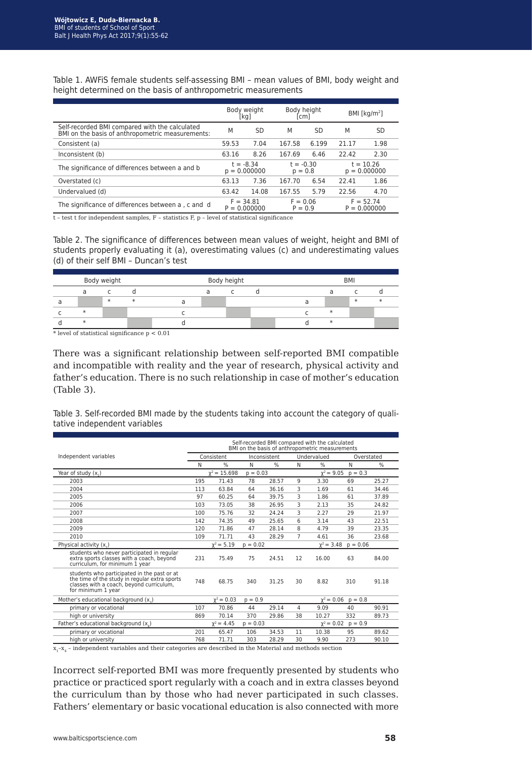|                                                                                                    | Body height<br>Body weight<br>[kg]<br>$\lfloor$ cm $\rfloor$ |                                                          |                          |                               | BMI [ $kg/m2$ ]               |           |
|----------------------------------------------------------------------------------------------------|--------------------------------------------------------------|----------------------------------------------------------|--------------------------|-------------------------------|-------------------------------|-----------|
| Self-recorded BMI compared with the calculated<br>BMI on the basis of anthropometric measurements: | M                                                            | <b>SD</b>                                                | M                        | SD                            | M                             | <b>SD</b> |
| Consistent (a)                                                                                     | 59.53                                                        | 7.04                                                     | 167.58                   | 6.199                         | 21.17                         | 1.98      |
| Inconsistent (b)                                                                                   | 63.16                                                        | 8.26                                                     | 167.69                   | 6.46                          | 22.42                         | 2.30      |
| The significance of differences between a and b                                                    |                                                              | $t = -8.34$<br>$p = 0.000000$                            | $t = -0.30$<br>$p = 0.8$ |                               | $t = 10.26$<br>$p = 0.000000$ |           |
| Overstated (c)                                                                                     | 63.13                                                        | 7.36                                                     | 167.70                   | 6.54                          | 22.41                         | 1.86      |
| Undervalued (d)                                                                                    | 63.42                                                        | 14.08                                                    | 167.55                   | 5.79                          | 22.56                         | 4.70      |
| The significance of differences between a, c and d                                                 |                                                              | $F = 0.06$<br>$F = 34.81$<br>$P = 0.000000$<br>$P = 0.9$ |                          | $F = 52.74$<br>$P = 0.000000$ |                               |           |

Table 1. AWFiS female students self-assessing BMI – mean values of BMI, body weight and height determined on the basis of anthropometric measurements

t – test t for independent samples, F – statistics F, p – level of statistical significance

Table 2. The significance of differences between mean values of weight, height and BMI of students properly evaluating it (a), overestimating values (c) and underestimating values (d) of their self BMI – Duncan's test

| Body weight |  |        | Body height |  |  |  | <b>BMI</b> |  |        |  |
|-------------|--|--------|-------------|--|--|--|------------|--|--------|--|
|             |  |        |             |  |  |  |            |  |        |  |
|             |  | $\ast$ | $\ast$      |  |  |  |            |  | $\ast$ |  |
|             |  |        |             |  |  |  |            |  |        |  |
|             |  |        |             |  |  |  |            |  |        |  |

\* level of statistical significance p < 0.01

There was a significant relationship between self-reported BMI compatible and incompatible with reality and the year of research, physical activity and father's education. There is no such relationship in case of mother's education (Table 3).

Table 3. Self-recorded BMI made by the students taking into account the category of qualitative independent variables

|                                                                                                                                                                | Self-recorded BMI compared with the calculated<br>BMI on the basis of anthropometric measurements |                              |            |                      |    |                 |            |               |  |
|----------------------------------------------------------------------------------------------------------------------------------------------------------------|---------------------------------------------------------------------------------------------------|------------------------------|------------|----------------------|----|-----------------|------------|---------------|--|
| Independent variables                                                                                                                                          |                                                                                                   | Consistent                   |            | Inconsistent         |    | Undervalued     |            | Overstated    |  |
|                                                                                                                                                                |                                                                                                   | $\frac{0}{0}$                | N          | $\frac{0}{0}$        | N  | $\frac{0}{0}$   | N          | $\frac{0}{0}$ |  |
| Year of study $(x, )$                                                                                                                                          |                                                                                                   | $Y^2 = 15.698$               | $p = 0.03$ |                      |    | $\chi^2 = 9.05$ | $p = 0.3$  |               |  |
| 2003                                                                                                                                                           | 195                                                                                               | 71.43                        | 78         | 28.57                | 9  | 3.30            | 69         | 25.27         |  |
| 2004                                                                                                                                                           | 113                                                                                               | 63.84                        | 64         | 36.16                | 3  | 1.69            | 61         | 34.46         |  |
| 2005                                                                                                                                                           | 97                                                                                                | 60.25                        | 64         | 39.75                | 3  | 1.86            | 61         | 37.89         |  |
| 2006                                                                                                                                                           | 103                                                                                               | 73.05                        | 38         | 26.95                | 3  | 2.13            | 35         | 24.82         |  |
| 2007                                                                                                                                                           | 100                                                                                               | 75.76                        | 32         | 24.24                | 3  | 2.27            | 29         | 21.97         |  |
| 2008                                                                                                                                                           | 142                                                                                               | 74.35                        | 49         | 25.65                | 6  | 3.14            | 43         | 22.51         |  |
| 2009                                                                                                                                                           | 120                                                                                               | 71.86                        | 47         | 28.14                | 8  | 4.79            | 39         | 23.35         |  |
| 2010                                                                                                                                                           | 109                                                                                               | 71.71                        | 43         | 28.29                | 7  | 4.61            | 36         | 23.68         |  |
| Physical activity (x)                                                                                                                                          |                                                                                                   | $Y^2 = 5.19$                 | $p = 0.02$ |                      |    | $\chi^2 = 3.48$ | $p = 0.06$ |               |  |
| students who never participated in regular<br>extra sports classes with a coach, beyond<br>curriculum, for minimum 1 year                                      | 231                                                                                               | 75.49                        | 75         | 24.51                | 12 | 16.00           | 63         | 84.00         |  |
| students who participated in the past or at<br>the time of the study in regular extra sports<br>classes with a coach, beyond curriculum,<br>for minimum 1 year | 748                                                                                               | 68.75                        | 340        | 31.25                | 30 | 8.82            | 310        | 91.18         |  |
| Mother's educational background (x,)                                                                                                                           |                                                                                                   | $\chi^2 = 0.03$<br>$p = 0.9$ |            | $y^2 = 0.06$ p = 0.8 |    |                 |            |               |  |
| primary or vocational                                                                                                                                          | 107                                                                                               | 70.86                        | 44         | 29.14                | 4  | 9.09            | 40         | 90.91         |  |
| high or university                                                                                                                                             | 869                                                                                               | 70.14                        | 370        | 29.86                | 38 | 10.27           | 332        | 89.73         |  |
| Father's educational background (x,)                                                                                                                           |                                                                                                   | $y^2 = 4.45$                 | $p = 0.03$ |                      |    | $Y^2 = 0.02$    | $p = 0.9$  |               |  |
| primary or vocational                                                                                                                                          | 201                                                                                               | 65.47                        | 106        | 34.53                | 11 | 10.38           | 95         | 89.62         |  |
| high or university                                                                                                                                             | 768                                                                                               | 71.71                        | 303        | 28.29                | 30 | 9.90            | 273        | 90.10         |  |

 $x_1 - x_4$  – independent variables and their categories are described in the Material and methods section

Incorrect self-reported BMI was more frequently presented by students who practice or practiced sport regularly with a coach and in extra classes beyond the curriculum than by those who had never participated in such classes. Fathers' elementary or basic vocational education is also connected with more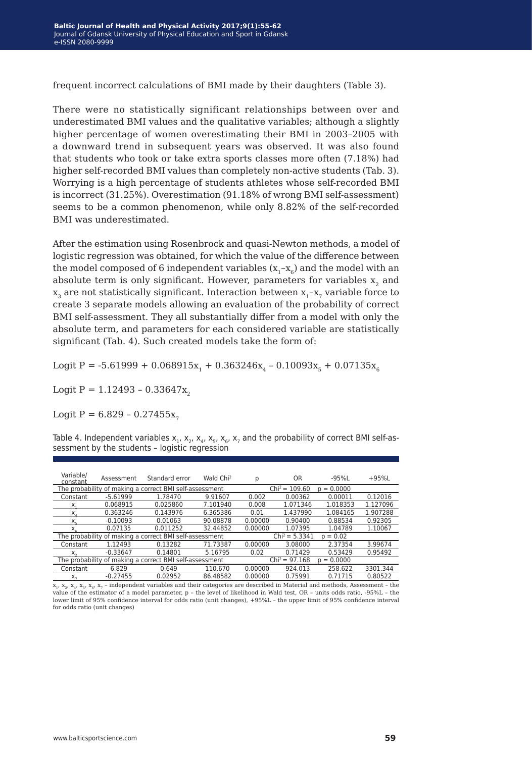frequent incorrect calculations of BMI made by their daughters (Table 3).

There were no statistically significant relationships between over and underestimated BMI values and the qualitative variables; although a slightly higher percentage of women overestimating their BMI in 2003–2005 with a downward trend in subsequent years was observed. It was also found that students who took or take extra sports classes more often (7.18%) had higher self-recorded BMI values than completely non-active students (Tab. 3). Worrying is a high percentage of students athletes whose self-recorded BMI is incorrect (31.25%). Overestimation (91.18% of wrong BMI self-assessment) seems to be a common phenomenon, while only 8.82% of the self-recorded BMI was underestimated.

After the estimation using Rosenbrock and quasi-Newton methods, a model of logistic regression was obtained, for which the value of the difference between the model composed of 6 independent variables  $(x_1-x_6)$  and the model with an absolute term is only significant. However, parameters for variables  $x<sub>2</sub>$  and  $x_3$  are not statistically significant. Interaction between  $x_1-x_7$  variable force to create 3 separate models allowing an evaluation of the probability of correct BMI self-assessment. They all substantially differ from a model with only the absolute term, and parameters for each considered variable are statistically significant (Tab. 4). Such created models take the form of:

Logit P =  $-5.61999 + 0.068915x_1 + 0.363246x_4 - 0.10093x_5 + 0.07135x_6$ 

Logit P =  $1.12493 - 0.33647x$ 

Logit  $P = 6.829 - 0.27455x$ 

Table 4. Independent variables  $x_1$ ,  $x_2$ ,  $x_4$ ,  $x_5$ ,  $x_6$ ,  $x_7$  and the probability of correct BMI self-assessment by the students – logistic regression

| Variable/<br>constant                                   | Assessment | Standard error                                          | Wald Chi <sup>2</sup> | р       | <b>OR</b>        | -95%L           | $+95%$   |
|---------------------------------------------------------|------------|---------------------------------------------------------|-----------------------|---------|------------------|-----------------|----------|
|                                                         |            | The probability of making a correct BMI self-assessment |                       |         | $Chi^2 = 109.60$ | $= 0.0000$<br>D |          |
| Constant                                                | $-5.61999$ | 1.78470                                                 | 9.91607               | 0.002   | 0.00362          | 0.00011         | 0.12016  |
| Х.                                                      | 0.068915   | 0.025860                                                | 7.101940              | 0.008   | 1.071346         | 1.018353        | 1.127096 |
| X,                                                      | 0.363246   | 0.143976                                                | 6.365386              | 0.01    | 1.437990         | 1.084165        | 1.907288 |
| X,                                                      | $-0.10093$ | 0.01063                                                 | 90.08878              | 0.00000 | 0.90400          | 0.88534         | 0.92305  |
| $X -$                                                   | 0.07135    | 0.011252                                                | 32.44852              | 0.00000 | 1.07395          | 1.04789         | 1.10067  |
| The probability of making a correct BMI self-assessment |            | $Chi^2 = 5.3341$                                        | $p = 0.02$            |         |                  |                 |          |
| Constant                                                | 1.12493    | 0.13282                                                 | 71.73387              | 0.00000 | 3.08000          | 2.37354         | 3.99674  |
| $X_{-}$                                                 | $-0.33647$ | 0.14801                                                 | 5.16795               | 0.02    | 0.71429          | 0.53429         | 0.95492  |
| The probability of making a correct BMI self-assessment |            | $Chi^2 = 97.168$                                        | $p = 0.0000$          |         |                  |                 |          |
| Constant                                                | 6.829      | 0.649                                                   | 110.670               | 0.00000 | 924.013          | 258.622         | 3301.344 |
| $X_{\tau}$                                              | $-0.27455$ | 0.02952                                                 | 86.48582              | 0.00000 | 0.75991          | 0.71715         | 0.80522  |

 $x_1$ ,  $x_2$ ,  $x_4$ ,  $x_5$ ,  $x_6$ ,  $x_7$  – independent variables and their categories are described in Material and methods, Assessment – the value of the estimator of a model parameter, p – the level of likelihood in Wald test, OR – units odds ratio, -95%L – the lower limit of 95% confidence interval for odds ratio (unit changes), +95%L – the upper limit of 95% confidence interval for odds ratio (unit changes)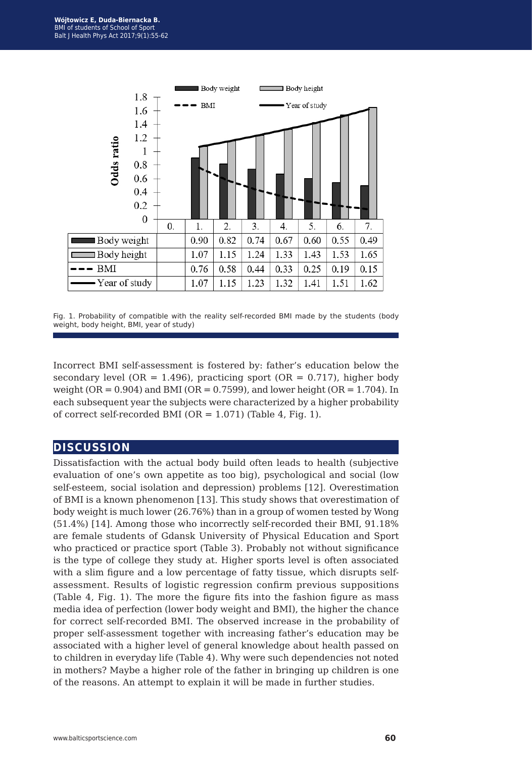

Fig. 1. Probability of compatible with the reality self-recorded BMI made by the students (body weight, body height, BMI, year of study)

Incorrect BMI self-assessment is fostered by: father's education below the secondary level (OR = 1.496), practicing sport (OR =  $0.717$ ), higher body weight (OR =  $0.904$ ) and BMI (OR =  $0.7599$ ), and lower height (OR =  $1.704$ ). In each subsequent year the subjects were characterized by a higher probability of correct self-recorded BMI ( $OR = 1.071$ ) (Table 4, Fig. 1).

#### **discussion**

Dissatisfaction with the actual body build often leads to health (subjective evaluation of one's own appetite as too big), psychological and social (low self-esteem, social isolation and depression) problems [12]. Overestimation of BMI is a known phenomenon [13]. This study shows that overestimation of body weight is much lower (26.76%) than in a group of women tested by Wong (51.4%) [14]. Among those who incorrectly self-recorded their BMI, 91.18% are female students of Gdansk University of Physical Education and Sport who practiced or practice sport (Table 3). Probably not without significance is the type of college they study at. Higher sports level is often associated with a slim figure and a low percentage of fatty tissue, which disrupts selfassessment. Results of logistic regression confirm previous suppositions (Table 4, Fig. 1). The more the figure fits into the fashion figure as mass media idea of perfection (lower body weight and BMI), the higher the chance for correct self-recorded BMI. The observed increase in the probability of proper self-assessment together with increasing father's education may be associated with a higher level of general knowledge about health passed on to children in everyday life (Table 4). Why were such dependencies not noted in mothers? Maybe a higher role of the father in bringing up children is one of the reasons. An attempt to explain it will be made in further studies.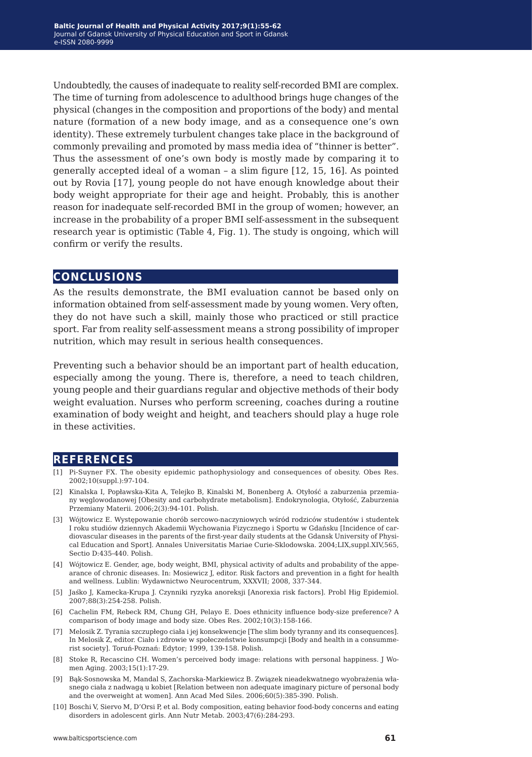Undoubtedly, the causes of inadequate to reality self-recorded BMI are complex. The time of turning from adolescence to adulthood brings huge changes of the physical (changes in the composition and proportions of the body) and mental nature (formation of a new body image, and as a consequence one's own identity). These extremely turbulent changes take place in the background of commonly prevailing and promoted by mass media idea of "thinner is better". Thus the assessment of one's own body is mostly made by comparing it to generally accepted ideal of a woman – a slim figure [12, 15, 16]. As pointed out by Rovia [17], young people do not have enough knowledge about their body weight appropriate for their age and height. Probably, this is another reason for inadequate self-recorded BMI in the group of women; however, an increase in the probability of a proper BMI self-assessment in the subsequent research year is optimistic (Table 4, Fig. 1). The study is ongoing, which will confirm or verify the results.

#### **conclusions**

As the results demonstrate, the BMI evaluation cannot be based only on information obtained from self-assessment made by young women. Very often, they do not have such a skill, mainly those who practiced or still practice sport. Far from reality self-assessment means a strong possibility of improper nutrition, which may result in serious health consequences.

Preventing such a behavior should be an important part of health education, especially among the young. There is, therefore, a need to teach children, young people and their guardians regular and objective methods of their body weight evaluation. Nurses who perform screening, coaches during a routine examination of body weight and height, and teachers should play a huge role in these activities.

#### **references**

- [1] Pi-Suyner FX. The obesity epidemic pathophysiology and consequences of obesity. Obes Res. 2002;10(suppl.):97-104.
- [2] Kinalska I, Popławska-Kita A, Telejko B, Kinalski M, Bonenberg A. Otyłość a zaburzenia przemiany węglowodanowej [Obesity and carbohydrate metabolism]. Endokrynologia, Otyłość, Zaburzenia Przemiany Materii. 2006;2(3):94-101. Polish.
- [3] Wójtowicz E. Występowanie chorób sercowo-naczyniowych wśród rodziców studentów i studentek I roku studiów dziennych Akademii Wychowania Fizycznego i Sportu w Gdańsku [Incidence of cardiovascular diseases in the parents of the first-year daily students at the Gdansk University of Physical Education and Sport]. Annales Universitatis Mariae Curie-Sklodowska. 2004;LIX,suppl.XIV,565, Sectio D:435-440. Polish.
- [4] Wójtowicz E. Gender, age, body weight, BMI, physical activity of adults and probability of the appearance of chronic diseases. In: Mosiewicz J, editor. Risk factors and prevention in a fight for health and wellness. Lublin: Wydawnictwo Neurocentrum, XXXVII; 2008, 337-344.
- [5] Jaśko J, Kamecka-Krupa J. Czynniki ryzyka anoreksji [Anorexia risk factors]. Probl Hig Epidemiol. 2007;88(3):254-258. Polish.
- [6] Cachelin FM, Rebeck RM, Chung GH, Pelayo E. Does ethnicity influence body-size preference? A comparison of body image and body size. Obes Res. 2002;10(3):158-166.
- [7] Melosik Z. Tyrania szczupłego ciała i jej konsekwencje [The slim body tyranny and its consequences]. In Melosik Z, editor. Ciało i zdrowie w społeczeństwie konsumpcji [Body and health in a consummerist society]. Toruń-Poznań: Edytor; 1999, 139-158. Polish.
- [8] Stoke R, Recascino CH. Women's perceived body image: relations with personal happiness. J Women Aging. 2003;15(1):17-29.
- [9] Bąk-Sosnowska M, Mandal S, Zachorska-Markiewicz B. Związek nieadekwatnego wyobrażenia własnego ciała z nadwagą u kobiet [Relation between non adequate imaginary picture of personal body and the overweight at women]. Ann Acad Med Siles. 2006;60(5):385-390. Polish.
- [10] Boschi V, Siervo M, D'Orsi P, et al. Body composition, eating behavior food-body concerns and eating disorders in adolescent girls. Ann Nutr Metab. 2003;47(6):284-293.